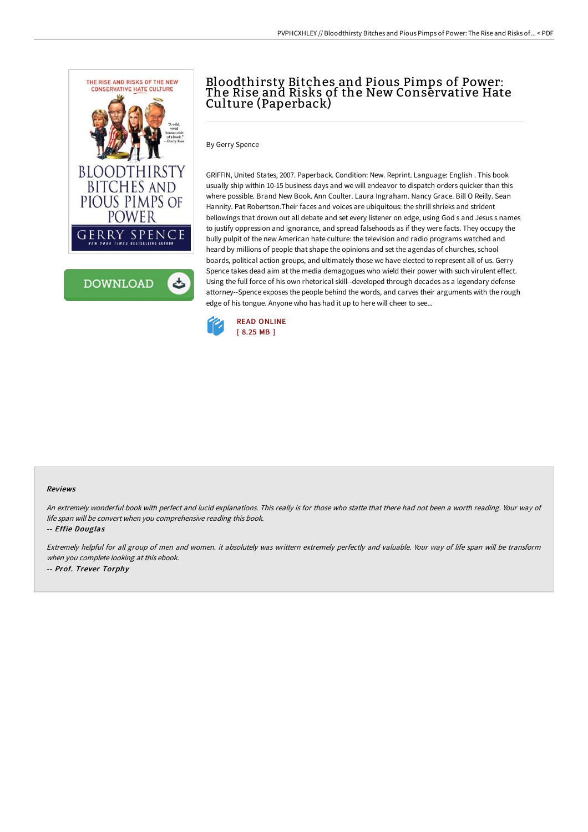



# Bloodthirsty Bitches and Pious Pimps of Power: The Rise and Risks of the New Conservative Hate Culture (Paperback)

By Gerry Spence

GRIFFIN, United States, 2007. Paperback. Condition: New. Reprint. Language: English . This book usually ship within 10-15 business days and we will endeavor to dispatch orders quicker than this where possible. Brand New Book. Ann Coulter. Laura Ingraham. Nancy Grace. Bill O Reilly. Sean Hannity. Pat Robertson.Their faces and voices are ubiquitous: the shrill shrieks and strident bellowings that drown out all debate and set every listener on edge, using God s and Jesus s names to justify oppression and ignorance, and spread falsehoods as if they were facts. They occupy the bully pulpit of the new American hate culture: the television and radio programs watched and heard by millions of people that shape the opinions and set the agendas of churches, school boards, political action groups, and ultimately those we have elected to represent all of us. Gerry Spence takes dead aim at the media demagogues who wield their power with such virulent effect. Using the full force of his own rhetorical skill--developed through decades as a legendary defense attorney--Spence exposes the people behind the words, and carves their arguments with the rough edge of his tongue. Anyone who has had it up to here will cheer to see...



#### Reviews

An extremely wonderful book with perfect and lucid explanations. This really is for those who statte that there had not been <sup>a</sup> worth reading. Your way of life span will be convert when you comprehensive reading this book.

-- Effie Douglas

Extremely helpful for all group of men and women. it absolutely was writtern extremely perfectly and valuable. Your way of life span will be transform when you complete looking at this ebook. -- Prof. Trever Torphy